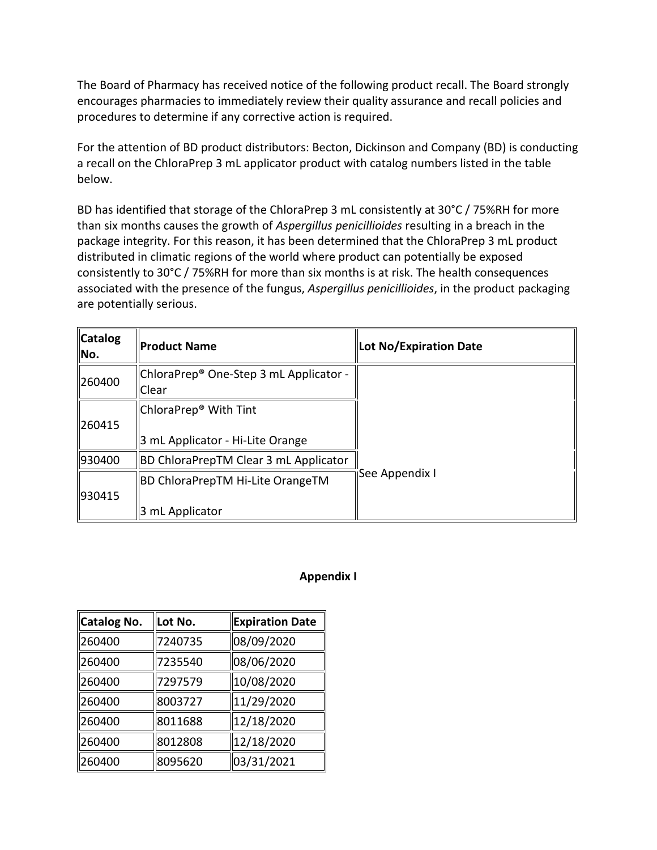The Board of Pharmacy has received notice of the following product recall. The Board strongly encourages pharmacies to immediately review their quality assurance and recall policies and procedures to determine if any corrective action is required.

 For the attention of BD product distributors: Becton, Dickinson and Company (BD) is conducting a recall on the ChloraPrep 3 mL applicator product with catalog numbers listed in the table below.

 distributed in climatic regions of the world where product can potentially be exposed associated with the presence of the fungus, *Aspergillus penicillioides*, in the product packaging BD has identified that storage of the ChloraPrep 3 mL consistently at 30°C / 75%RH for more than six months causes the growth of *Aspergillus penicillioides* resulting in a breach in the package integrity. For this reason, it has been determined that the ChloraPrep 3 mL product consistently to 30°C / 75%RH for more than six months is at risk. The health consequences are potentially serious.

| <b>Catalog</b><br>No. | <b>Product Name</b>                                                   | <b>Lot No/Expiration Date</b> |
|-----------------------|-----------------------------------------------------------------------|-------------------------------|
| 260400                | ChloraPrep <sup>®</sup> One-Step 3 mL Applicator -<br>Clear           |                               |
| 260415                | ChloraPrep <sup>®</sup> With Tint<br>3 mL Applicator - Hi-Lite Orange |                               |
| 930400                | <b>BD ChloraPrepTM Clear 3 mL Applicator</b>                          |                               |
| 930415                | <b>BD ChloraPrepTM Hi-Lite OrangeTM</b><br>3 mL Applicator            | <b>See Appendix I</b>         |

## **Appendix I**

| Catalog No. | Lot No. | <b>Expiration Date</b> |
|-------------|---------|------------------------|
| 260400      | 7240735 | 08/09/2020             |
| 260400      | 7235540 | 08/06/2020             |
| 260400      | 7297579 | 10/08/2020             |
| 260400      | 8003727 | 11/29/2020             |
| 260400      | 8011688 | 12/18/2020             |
| 260400      | 8012808 | 12/18/2020             |
| 260400      | 8095620 | 03/31/2021             |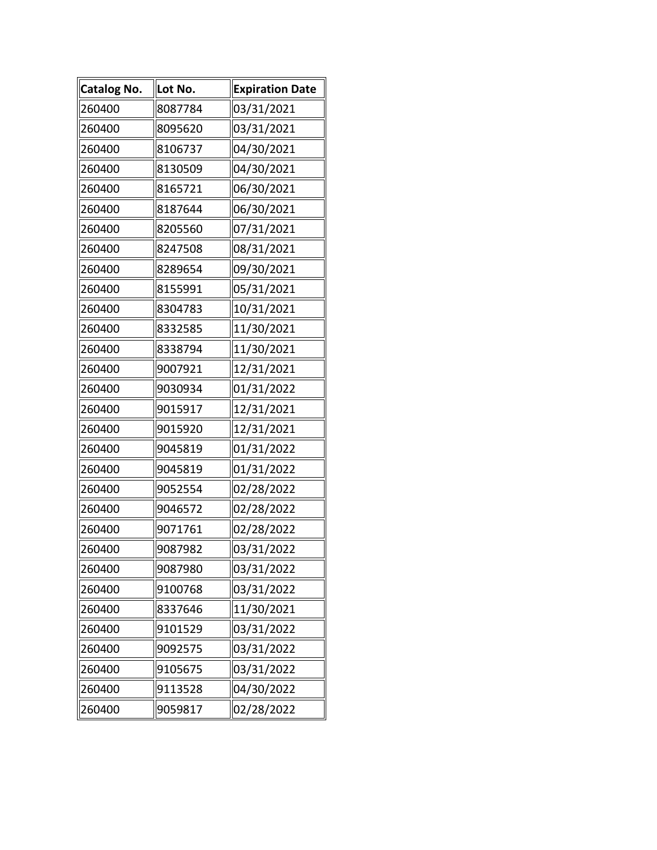| <b>Catalog No.</b> | Lot No. | <b>Expiration Date</b> |
|--------------------|---------|------------------------|
| 260400             | 8087784 | 03/31/2021             |
| 260400             | 8095620 | 03/31/2021             |
| 260400             | 8106737 | 04/30/2021             |
| 260400             | 8130509 | 04/30/2021             |
| 260400             | 8165721 | 06/30/2021             |
| 260400             | 8187644 | 06/30/2021             |
| 260400             | 8205560 | 07/31/2021             |
| 260400             | 8247508 | 08/31/2021             |
| 260400             | 8289654 | 09/30/2021             |
| 260400             | 8155991 | 05/31/2021             |
| 260400             | 8304783 | 10/31/2021             |
| 260400             | 8332585 | 11/30/2021             |
| 260400             | 8338794 | 11/30/2021             |
| 260400             | 9007921 | 12/31/2021             |
| 260400             | 9030934 | 01/31/2022             |
| 260400             | 9015917 | 12/31/2021             |
| 260400             | 9015920 | 12/31/2021             |
| 260400             | 9045819 | 01/31/2022             |
| 260400             | 9045819 | 01/31/2022             |
| 260400             | 9052554 | 02/28/2022             |
| 260400             | 9046572 | 02/28/2022             |
| 260400             | 9071761 | 02/28/2022             |
| 260400             | 9087982 | 03/31/2022             |
| 260400             | 9087980 | 03/31/2022             |
| 260400             | 9100768 | 03/31/2022             |
| 260400             | 8337646 | 11/30/2021             |
| 260400             | 9101529 | 03/31/2022             |
| 260400             | 9092575 | 03/31/2022             |
| 260400             | 9105675 | 03/31/2022             |
| 260400             | 9113528 | 04/30/2022             |
| 260400             | 9059817 | 02/28/2022             |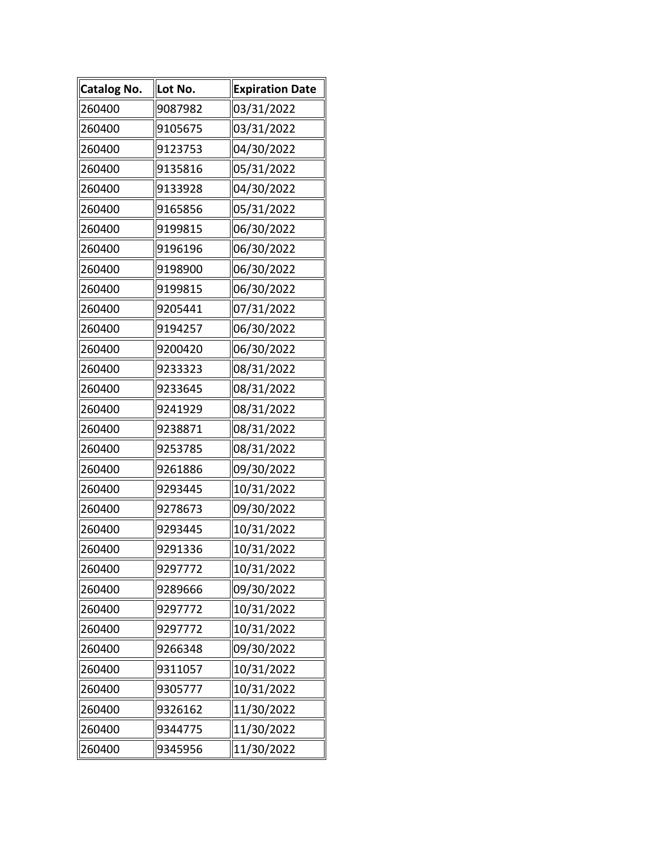| Catalog No. | Lot No. | <b>Expiration Date</b> |
|-------------|---------|------------------------|
| 260400      | 9087982 | 03/31/2022             |
| 260400      | 9105675 | 03/31/2022             |
| 260400      | 9123753 | 04/30/2022             |
| 260400      | 9135816 | 05/31/2022             |
| 260400      | 9133928 | 04/30/2022             |
| 260400      | 9165856 | 05/31/2022             |
| 260400      | 9199815 | 06/30/2022             |
| 260400      | 9196196 | 06/30/2022             |
| 260400      | 9198900 | 06/30/2022             |
| 260400      | 9199815 | 06/30/2022             |
| 260400      | 9205441 | 07/31/2022             |
| 260400      | 9194257 | 06/30/2022             |
| 260400      | 9200420 | 06/30/2022             |
| 260400      | 9233323 | 08/31/2022             |
| 260400      | 9233645 | 08/31/2022             |
| 260400      | 9241929 | 08/31/2022             |
| 260400      | 9238871 | 08/31/2022             |
| 260400      | 9253785 | 08/31/2022             |
| 260400      | 9261886 | 09/30/2022             |
| 260400      | 9293445 | 10/31/2022             |
| 260400      | 9278673 | 09/30/2022             |
| 260400      | 9293445 | 10/31/2022             |
| 260400      | 9291336 | 10/31/2022             |
| 260400      | 9297772 | 10/31/2022             |
| 260400      | 9289666 | 09/30/2022             |
| 260400      | 9297772 | 10/31/2022             |
| 260400      | 9297772 | 10/31/2022             |
| 260400      | 9266348 | 09/30/2022             |
| 260400      | 9311057 | 10/31/2022             |
| 260400      | 9305777 | 10/31/2022             |
| 260400      | 9326162 | 11/30/2022             |
| 260400      | 9344775 | 11/30/2022             |
| 260400      | 9345956 | 11/30/2022             |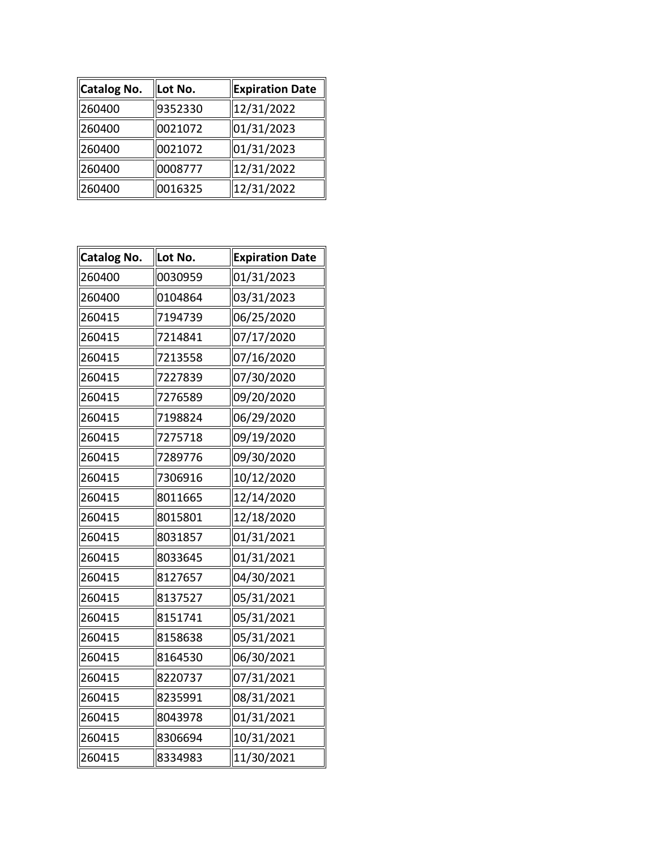| ∥Catalog No. | Lot No. | <b>Expiration Date</b> |
|--------------|---------|------------------------|
| 260400       | 9352330 | 12/31/2022             |
| 260400       | 0021072 | 01/31/2023             |
| 260400       | 0021072 | 01/31/2023             |
| 260400       | 0008777 | 12/31/2022             |
| 260400       | 0016325 | 12/31/2022             |

| <b>Catalog No.</b> | Lot No. | <b>Expiration Date</b> |
|--------------------|---------|------------------------|
| 260400             | 0030959 | 01/31/2023             |
| 260400             | 0104864 | 03/31/2023             |
| 260415             | 7194739 | 06/25/2020             |
| 260415             | 7214841 | 07/17/2020             |
| 260415             | 7213558 | 07/16/2020             |
| 260415             | 7227839 | 07/30/2020             |
| 260415             | 7276589 | 09/20/2020             |
| 260415             | 7198824 | 06/29/2020             |
| 260415             | 7275718 | 09/19/2020             |
| 260415             | 7289776 | 09/30/2020             |
| 260415             | 7306916 | 10/12/2020             |
| 260415             | 8011665 | 12/14/2020             |
| 260415             | 8015801 | 12/18/2020             |
| 260415             | 8031857 | 01/31/2021             |
| 260415             | 8033645 | 01/31/2021             |
| 260415             | 8127657 | 04/30/2021             |
| 260415             | 8137527 | 05/31/2021             |
| 260415             | 8151741 | 05/31/2021             |
| 260415             | 8158638 | 05/31/2021             |
| 260415             | 8164530 | 06/30/2021             |
| 260415             | 8220737 | 07/31/2021             |
| 260415             | 8235991 | 08/31/2021             |
| 260415             | 8043978 | 01/31/2021             |
| 260415             | 8306694 | 10/31/2021             |
| 260415             | 8334983 | 11/30/2021             |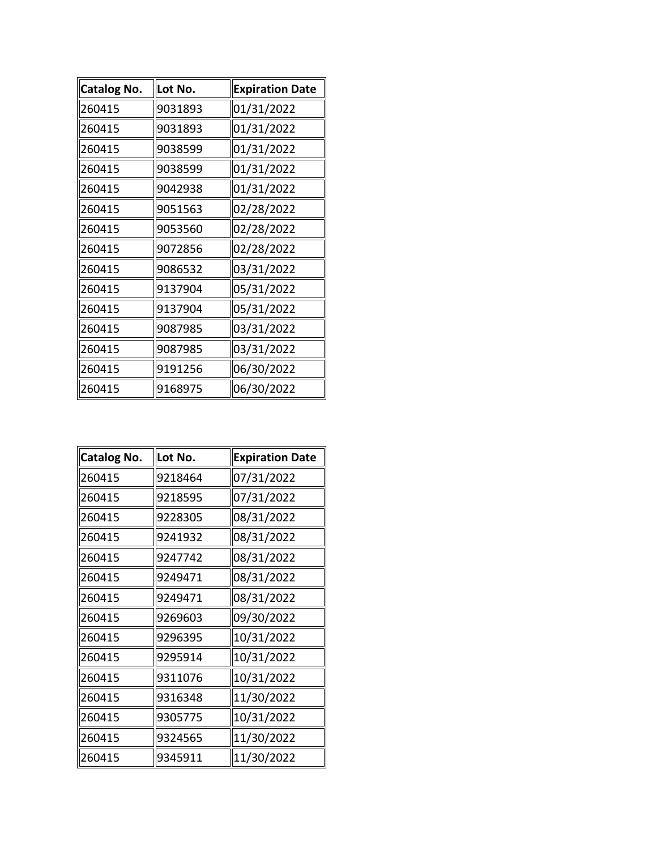| <b>Catalog No.</b> | Lot No. | <b>Expiration Date</b> |
|--------------------|---------|------------------------|
| 260415             | 9031893 | 01/31/2022             |
| 260415             | 9031893 | 01/31/2022             |
| 260415             | 9038599 | 01/31/2022             |
| 260415             | 9038599 | 01/31/2022             |
| 260415             | 9042938 | 01/31/2022             |
| 260415             | 9051563 | 02/28/2022             |
| 260415             | 9053560 | 02/28/2022             |
| 260415             | 9072856 | 02/28/2022             |
| 260415             | 9086532 | 03/31/2022             |
| 260415             | 9137904 | 05/31/2022             |
| 260415             | 9137904 | 05/31/2022             |
| 260415             | 9087985 | 03/31/2022             |
| 260415             | 9087985 | 03/31/2022             |
| 260415             | 9191256 | 06/30/2022             |
| 260415             | 9168975 | 06/30/2022             |

| Catalog No. | Lot No. | <b>Expiration Date</b> |
|-------------|---------|------------------------|
| 260415      | 9218464 | 07/31/2022             |
| 260415      | 9218595 | 07/31/2022             |
| 260415      | 9228305 | 08/31/2022             |
| 260415      | 9241932 | 08/31/2022             |
| 260415      | 9247742 | 08/31/2022             |
| 260415      | 9249471 | 08/31/2022             |
| 260415      | 9249471 | 08/31/2022             |
| 260415      | 9269603 | 09/30/2022             |
| 260415      | 9296395 | 10/31/2022             |
| 260415      | 9295914 | 10/31/2022             |
| 260415      | 9311076 | 10/31/2022             |
| 260415      | 9316348 | 11/30/2022             |
| 260415      | 9305775 | 10/31/2022             |
| 260415      | 9324565 | 11/30/2022             |
| 260415      | 9345911 | 11/30/2022             |